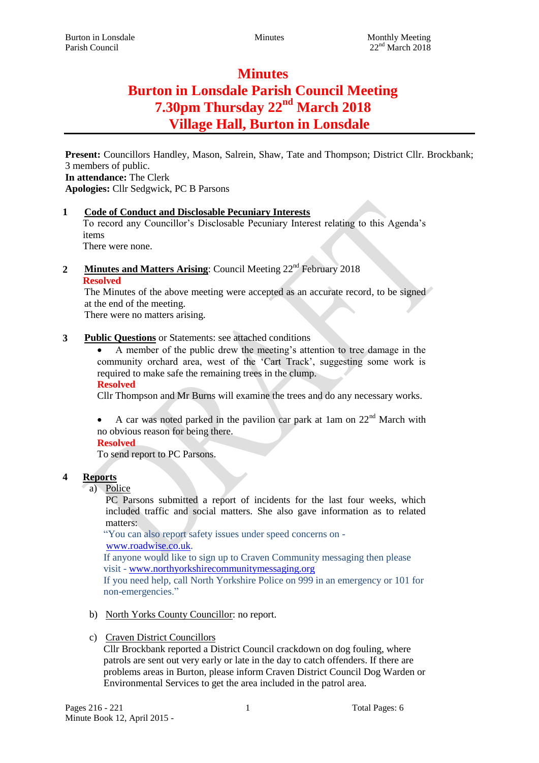# **Minutes Burton in Lonsdale Parish Council Meeting 7.30pm Thursday 22nd March 2018 Village Hall, Burton in Lonsdale**

**Present:** Councillors Handley, Mason, Salrein, Shaw, Tate and Thompson; District Cllr. Brockbank; 3 members of public. **In attendance:** The Clerk

**Apologies:** Cllr Sedgwick, PC B Parsons

# **1 Code of Conduct and Disclosable Pecuniary Interests**

To record any Councillor's Disclosable Pecuniary Interest relating to this Agenda's items

There were none.

2 **Minutes and Matters Arising**: Council Meeting 22<sup>nd</sup> February 2018

**Resolved**

The Minutes of the above meeting were accepted as an accurate record, to be signed at the end of the meeting.

There were no matters arising.

## **3 Public Questions** or Statements: see attached conditions

 A member of the public drew the meeting's attention to tree damage in the community orchard area, west of the 'Cart Track', suggesting some work is required to make safe the remaining trees in the clump.

#### **Resolved**

Cllr Thompson and Mr Burns will examine the trees and do any necessary works.

A car was noted parked in the pavilion car park at 1am on  $22<sup>nd</sup>$  March with no obvious reason for being there.

# **Resolved**

To send report to PC Parsons.

# **4 Reports**

a) Police

PC Parsons submitted a report of incidents for the last four weeks, which included traffic and social matters. She also gave information as to related matters:

"You can also report safety issues under speed concerns on [www.roadwise.co.uk.](http://www.roadwise.co.uk/)

If anyone would like to sign up to Craven Community messaging then please

visit - [www.northyorkshirecommunitymessaging.org](http://www.northyorkshirecommunitymessaging.org/) If you need help, call North Yorkshire Police on 999 in an emergency or 101 for non-emergencies."

- b) North Yorks County Councillor: no report.
- c) Craven District Councillors

Cllr Brockbank reported a District Council crackdown on dog fouling, where patrols are sent out very early or late in the day to catch offenders. If there are problems areas in Burton, please inform Craven District Council Dog Warden or Environmental Services to get the area included in the patrol area.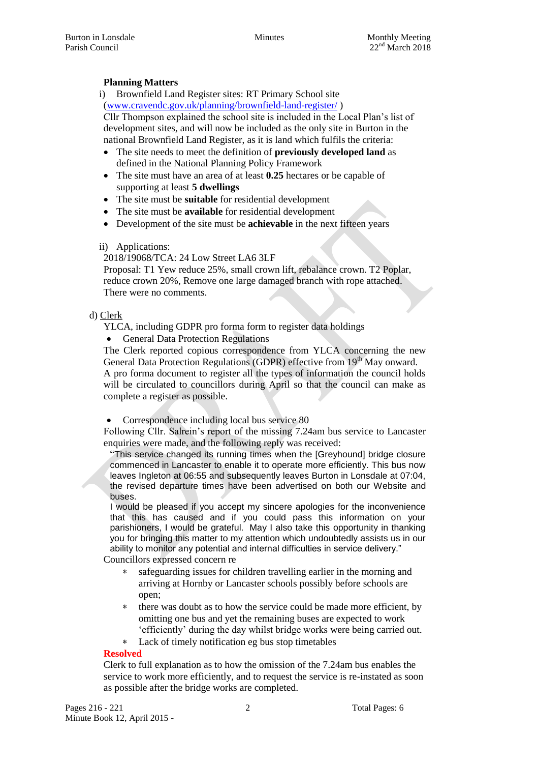## **Planning Matters**

i) Brownfield Land Register sites: RT Primary School site [\(www.cravendc.gov.uk/planning/brownfield-land-register/](http://www.cravendc.gov.uk/planning/brownfield-land-register/) )

Cllr Thompson explained the school site is included in the Local Plan's list of development sites, and will now be included as the only site in Burton in the national Brownfield Land Register, as it is land which fulfils the criteria:

- The site needs to meet the definition of **previously developed land** as defined in the National Planning Policy Framework
- The site must have an area of at least **0.25** hectares or be capable of supporting at least **5 dwellings**
- The site must be **suitable** for residential development
- The site must be **available** for residential development
- Development of the site must be **achievable** in the next fifteen years

#### ii) Applications:

2018/19068/TCA: 24 Low Street LA6 3LF

Proposal: T1 Yew reduce 25%, small crown lift, rebalance crown. T2 Poplar, reduce crown 20%, Remove one large damaged branch with rope attached. There were no comments.

#### d) Clerk

YLCA, including GDPR pro forma form to register data holdings

• General Data Protection Regulations

The Clerk reported copious correspondence from YLCA concerning the new General Data Protection Regulations (GDPR) effective from 19<sup>th</sup> May onward. A pro forma document to register all the types of information the council holds will be circulated to councillors during April so that the council can make as complete a register as possible.

Correspondence including local bus service 80

Following Cllr. Salrein's report of the missing 7.24am bus service to Lancaster enquiries were made, and the following reply was received:

"This service changed its running times when the [Greyhound] bridge closure commenced in Lancaster to enable it to operate more efficiently. This bus now leaves Ingleton at 06:55 and subsequently leaves Burton in Lonsdale at 07:04, the revised departure times have been advertised on both our Website and buses.

I would be pleased if you accept my sincere apologies for the inconvenience that this has caused and if you could pass this information on your parishioners, I would be grateful. May I also take this opportunity in thanking you for bringing this matter to my attention which undoubtedly assists us in our ability to monitor any potential and internal difficulties in service delivery."

Councillors expressed concern re

- safeguarding issues for children travelling earlier in the morning and arriving at Hornby or Lancaster schools possibly before schools are open;
- there was doubt as to how the service could be made more efficient, by omitting one bus and yet the remaining buses are expected to work 'efficiently' during the day whilst bridge works were being carried out.
- Lack of timely notification eg bus stop timetables

## **Resolved**

Clerk to full explanation as to how the omission of the 7.24am bus enables the service to work more efficiently, and to request the service is re-instated as soon as possible after the bridge works are completed.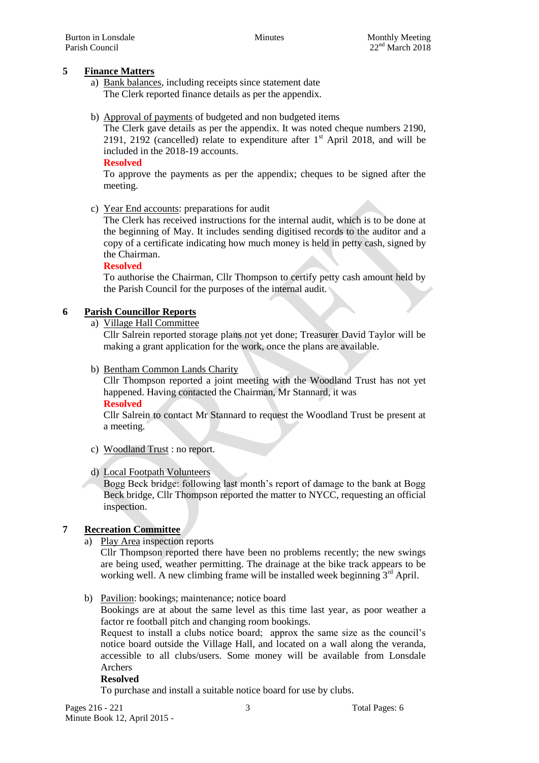## **5 Finance Matters**

- a) Bank balances, including receipts since statement date The Clerk reported finance details as per the appendix.
- b) Approval of payments of budgeted and non budgeted items

The Clerk gave details as per the appendix. It was noted cheque numbers 2190, 2191, 2192 (cancelled) relate to expenditure after  $1<sup>st</sup>$  April 2018, and will be included in the 2018-19 accounts.

#### **Resolved**

To approve the payments as per the appendix; cheques to be signed after the meeting.

c) Year End accounts: preparations for audit

The Clerk has received instructions for the internal audit, which is to be done at the beginning of May. It includes sending digitised records to the auditor and a copy of a certificate indicating how much money is held in petty cash, signed by the Chairman.

#### **Resolved**

To authorise the Chairman, Cllr Thompson to certify petty cash amount held by the Parish Council for the purposes of the internal audit.

## **6 Parish Councillor Reports**

a) Village Hall Committee

Cllr Salrein reported storage plans not yet done; Treasurer David Taylor will be making a grant application for the work, once the plans are available.

b) Bentham Common Lands Charity

Cllr Thompson reported a joint meeting with the Woodland Trust has not yet happened. Having contacted the Chairman, Mr Stannard, it was **Resolved**

Cllr Salrein to contact Mr Stannard to request the Woodland Trust be present at a meeting.

c) Woodland Trust : no report.

## d) Local Footpath Volunteers

Bogg Beck bridge: following last month's report of damage to the bank at Bogg Beck bridge, Cllr Thompson reported the matter to NYCC, requesting an official inspection.

## **7 Recreation Committee**

a) Play Area inspection reports

Cllr Thompson reported there have been no problems recently; the new swings are being used, weather permitting. The drainage at the bike track appears to be working well. A new climbing frame will be installed week beginning  $3<sup>rd</sup>$  April.

b) Pavilion: bookings; maintenance; notice board

Bookings are at about the same level as this time last year, as poor weather a factor re football pitch and changing room bookings.

Request to install a clubs notice board; approx the same size as the council's notice board outside the Village Hall, and located on a wall along the veranda, accessible to all clubs/users. Some money will be available from Lonsdale Archers

#### **Resolved**

To purchase and install a suitable notice board for use by clubs.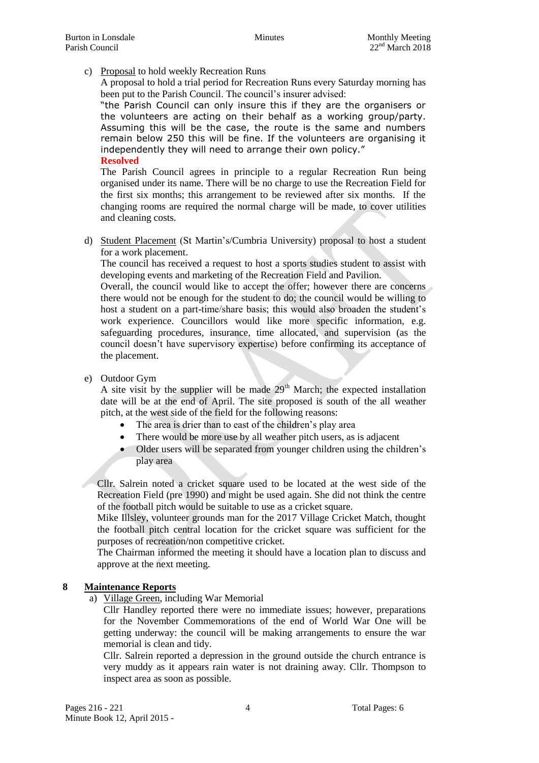c) Proposal to hold weekly Recreation Runs

A proposal to hold a trial period for Recreation Runs every Saturday morning has been put to the Parish Council. The council's insurer advised:

"the Parish Council can only insure this if they are the organisers or the volunteers are acting on their behalf as a working group/party. Assuming this will be the case, the route is the same and numbers remain below 250 this will be fine. If the volunteers are organising it independently they will need to arrange their own policy." **Resolved**

The Parish Council agrees in principle to a regular Recreation Run being organised under its name. There will be no charge to use the Recreation Field for the first six months; this arrangement to be reviewed after six months. If the changing rooms are required the normal charge will be made, to cover utilities and cleaning costs.

d) Student Placement (St Martin's/Cumbria University) proposal to host a student for a work placement.

The council has received a request to host a sports studies student to assist with developing events and marketing of the Recreation Field and Pavilion.

Overall, the council would like to accept the offer; however there are concerns there would not be enough for the student to do; the council would be willing to host a student on a part-time/share basis; this would also broaden the student's work experience. Councillors would like more specific information, e.g. safeguarding procedures, insurance, time allocated, and supervision (as the council doesn't have supervisory expertise) before confirming its acceptance of the placement.

e) Outdoor Gym

A site visit by the supplier will be made  $29<sup>th</sup>$  March; the expected installation date will be at the end of April. The site proposed is south of the all weather pitch, at the west side of the field for the following reasons:

- The area is drier than to east of the children's play area
- There would be more use by all weather pitch users, as is adjacent
- Older users will be separated from younger children using the children's play area

Cllr. Salrein noted a cricket square used to be located at the west side of the Recreation Field (pre 1990) and might be used again. She did not think the centre of the football pitch would be suitable to use as a cricket square.

Mike Illsley, volunteer grounds man for the 2017 Village Cricket Match, thought the football pitch central location for the cricket square was sufficient for the purposes of recreation/non competitive cricket.

The Chairman informed the meeting it should have a location plan to discuss and approve at the next meeting.

#### **8 Maintenance Reports**

a) Village Green, including War Memorial

Cllr Handley reported there were no immediate issues; however, preparations for the November Commemorations of the end of World War One will be getting underway: the council will be making arrangements to ensure the war memorial is clean and tidy.

Cllr. Salrein reported a depression in the ground outside the church entrance is very muddy as it appears rain water is not draining away. Cllr. Thompson to inspect area as soon as possible.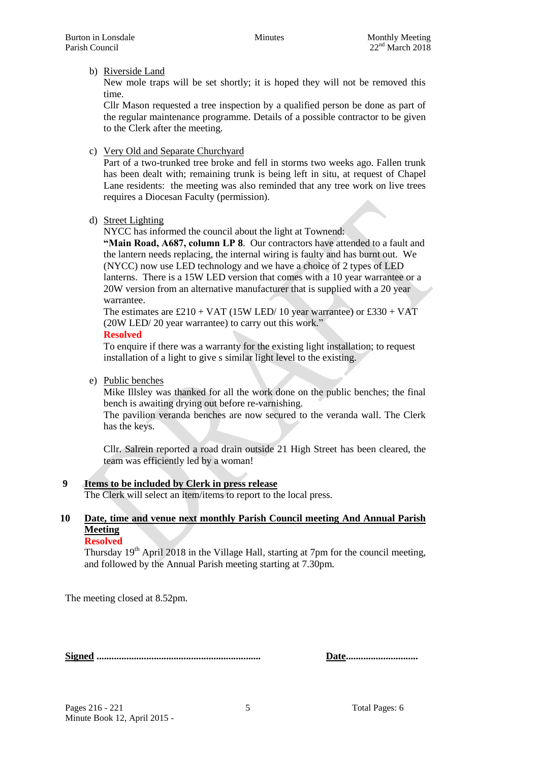#### b) Riverside Land

New mole traps will be set shortly; it is hoped they will not be removed this time.

Cllr Mason requested a tree inspection by a qualified person be done as part of the regular maintenance programme. Details of a possible contractor to be given to the Clerk after the meeting.

c) Very Old and Separate Churchyard

Part of a two-trunked tree broke and fell in storms two weeks ago. Fallen trunk has been dealt with; remaining trunk is being left in situ, at request of Chapel Lane residents: the meeting was also reminded that any tree work on live trees requires a Diocesan Faculty (permission).

d) Street Lighting

NYCC has informed the council about the light at Townend:

**"Main Road, A687, column LP 8**. Our contractors have attended to a fault and the lantern needs replacing, the internal wiring is faulty and has burnt out. We (NYCC) now use LED technology and we have a choice of 2 types of LED lanterns. There is a 15W LED version that comes with a 10 year warrantee or a 20W version from an alternative manufacturer that is supplied with a 20 year warrantee.

The estimates are £210 + VAT (15W LED/ 10 year warrantee) or £330 + VAT (20W LED/ 20 year warrantee) to carry out this work."

#### **Resolved**

To enquire if there was a warranty for the existing light installation; to request installation of a light to give s similar light level to the existing.

e) Public benches

Mike Illsley was thanked for all the work done on the public benches; the final bench is awaiting drying out before re-varnishing.

The pavilion veranda benches are now secured to the veranda wall. The Clerk has the keys.

Cllr. Salrein reported a road drain outside 21 High Street has been cleared, the team was efficiently led by a woman!

**9 Items to be included by Clerk in press release** The Clerk will select an item/items to report to the local press.

## **10 Date, time and venue next monthly Parish Council meeting And Annual Parish Meeting**

#### **Resolved**

Thursday 19th April 2018 in the Village Hall, starting at 7pm for the council meeting, and followed by the Annual Parish meeting starting at 7.30pm.

The meeting closed at 8.52pm.

**Signed .................................................................. Date.............................**